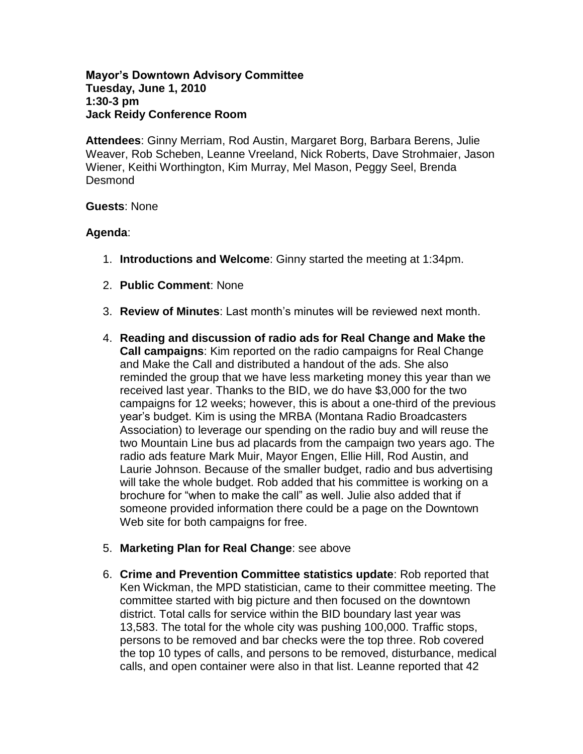## **Mayor's Downtown Advisory Committee Tuesday, June 1, 2010 1:30-3 pm Jack Reidy Conference Room**

**Attendees**: Ginny Merriam, Rod Austin, Margaret Borg, Barbara Berens, Julie Weaver, Rob Scheben, Leanne Vreeland, Nick Roberts, Dave Strohmaier, Jason Wiener, Keithi Worthington, Kim Murray, Mel Mason, Peggy Seel, Brenda Desmond

## **Guests**: None

## **Agenda**:

- 1. **Introductions and Welcome**: Ginny started the meeting at 1:34pm.
- 2. **Public Comment**: None
- 3. **Review of Minutes**: Last month's minutes will be reviewed next month.
- 4. **Reading and discussion of radio ads for Real Change and Make the Call campaigns**: Kim reported on the radio campaigns for Real Change and Make the Call and distributed a handout of the ads. She also reminded the group that we have less marketing money this year than we received last year. Thanks to the BID, we do have \$3,000 for the two campaigns for 12 weeks; however, this is about a one-third of the previous year's budget. Kim is using the MRBA (Montana Radio Broadcasters Association) to leverage our spending on the radio buy and will reuse the two Mountain Line bus ad placards from the campaign two years ago. The radio ads feature Mark Muir, Mayor Engen, Ellie Hill, Rod Austin, and Laurie Johnson. Because of the smaller budget, radio and bus advertising will take the whole budget. Rob added that his committee is working on a brochure for "when to make the call" as well. Julie also added that if someone provided information there could be a page on the Downtown Web site for both campaigns for free.
- 5. **Marketing Plan for Real Change**: see above
- 6. **Crime and Prevention Committee statistics update**: Rob reported that Ken Wickman, the MPD statistician, came to their committee meeting. The committee started with big picture and then focused on the downtown district. Total calls for service within the BID boundary last year was 13,583. The total for the whole city was pushing 100,000. Traffic stops, persons to be removed and bar checks were the top three. Rob covered the top 10 types of calls, and persons to be removed, disturbance, medical calls, and open container were also in that list. Leanne reported that 42